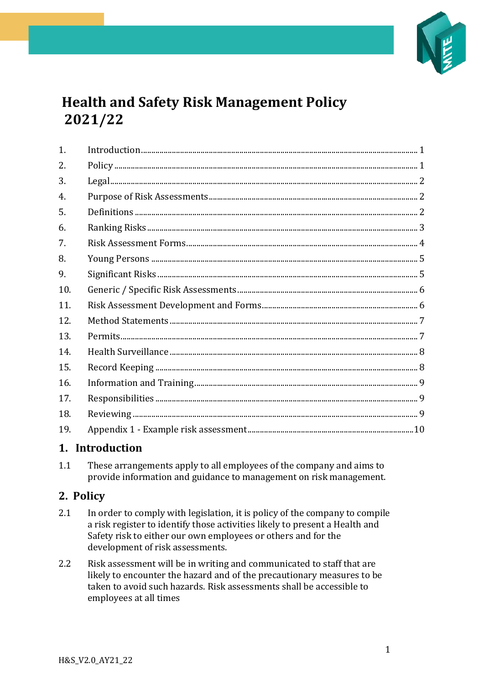

# **Health and Safety Risk Management Policy** 2021/22

| 1.  |  |
|-----|--|
| 2.  |  |
| 3.  |  |
| 4.  |  |
| 5.  |  |
| 6.  |  |
| 7.  |  |
| 8.  |  |
| 9.  |  |
| 10. |  |
| 11. |  |
| 12. |  |
| 13. |  |
| 14. |  |
| 15. |  |
| 16. |  |
| 17. |  |
| 18. |  |
| 19. |  |

## <span id="page-0-0"></span>1. Introduction

These arrangements apply to all employees of the company and aims to  $1.1$ provide information and guidance to management on risk management.

## <span id="page-0-1"></span>2. Policy

- $2.1$ In order to comply with legislation, it is policy of the company to compile a risk register to identify those activities likely to present a Health and Safety risk to either our own employees or others and for the development of risk assessments.
- Risk assessment will be in writing and communicated to staff that are  $2.2$ likely to encounter the hazard and of the precautionary measures to be taken to avoid such hazards. Risk assessments shall be accessible to employees at all times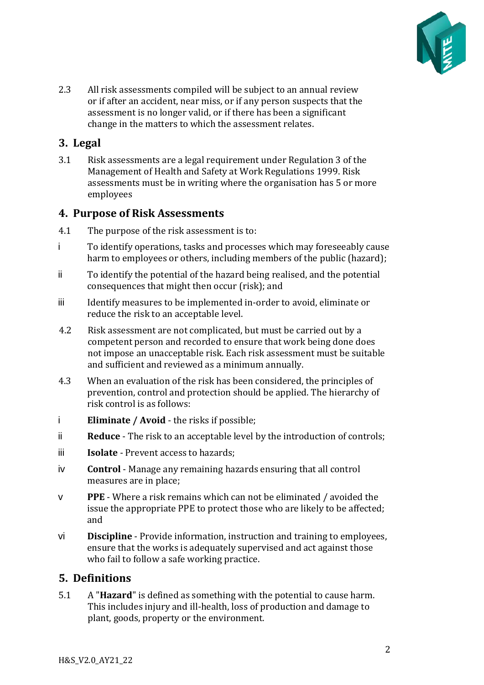

2.3 All risk assessments compiled will be subject to an annual review or if after an accident, near miss, or if any person suspects that the assessment is no longer valid, or if there has been a significant change in the matters to which the assessment relates.

## <span id="page-1-0"></span>**3. Legal**

3.1 Risk assessments are a legal requirement under Regulation 3 of the Management of Health and Safety at Work Regulations 1999. Risk assessments must be in writing where the organisation has 5 or more employees

### <span id="page-1-1"></span>**4. Purpose of Risk Assessments**

- 4.1 The purpose of the risk assessment is to:
- i To identify operations, tasks and processes which may foreseeably cause harm to employees or others, including members of the public (hazard);
- ii To identify the potential of the hazard being realised, and the potential consequences that might then occur (risk); and
- iii Identify measures to be implemented in-order to avoid, eliminate or reduce the risk to an acceptable level.
- 4.2 Risk assessment are not complicated, but must be carried out by a competent person and recorded to ensure that work being done does not impose an unacceptable risk. Each risk assessment must be suitable and sufficient and reviewed as a minimum annually.
- 4.3 When an evaluation of the risk has been considered, the principles of prevention, control and protection should be applied. The hierarchy of risk control is as follows:
- i **Eliminate / Avoid** the risks if possible;
- ii **Reduce** The risk to an acceptable level by the introduction of controls;
- iii **Isolate** Prevent access to hazards;
- iv **Control** Manage any remaining hazards ensuring that all control measures are in place;
- v **PPE** Where a risk remains which can not be eliminated / avoided the issue the appropriate PPE to protect those who are likely to be affected; and
- vi **Discipline** Provide information, instruction and training to employees, ensure that the works is adequately supervised and act against those who fail to follow a safe working practice.

## <span id="page-1-2"></span>**5. Definitions**

5.1 A "**Hazard**" is defined as something with the potential to cause harm. This includes injury and ill-health, loss of production and damage to plant, goods, property or the environment.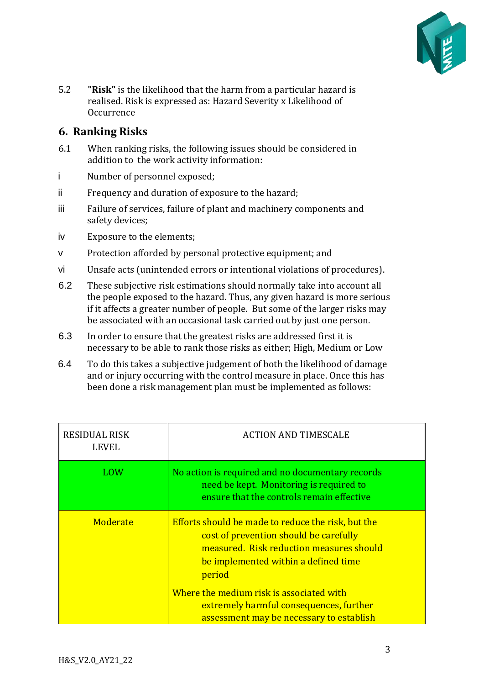

5.2 **"Risk"** is the likelihood that the harm from a particular hazard is realised. Risk is expressed as: Hazard Severity x Likelihood of **Occurrence** 

## <span id="page-2-0"></span>**6. Ranking Risks**

- 6.1 When ranking risks, the following issues should be considered in addition to the work activity information:
- i Number of personnel exposed;
- ii Frequency and duration of exposure to the hazard;
- iii Failure of services, failure of plant and machinery components and safety devices;
- iv Exposure to the elements;
- v Protection afforded by personal protective equipment; and
- vi Unsafe acts (unintended errors or intentional violations of procedures).
- 6.2 These subjective risk estimations should normally take into account all the people exposed to the hazard. Thus, any given hazard is more serious if it affects a greater number of people. But some of the larger risks may be associated with an occasional task carried out by just one person.
- 6.3 In order to ensure that the greatest risks are addressed first it is necessary to be able to rank those risks as either; High, Medium or Low
- 6.4 To do this takes a subjective judgement of both the likelihood of damage and or injury occurring with the control measure in place. Once this has been done a risk management plan must be implemented as follows:

| RESIDUAL RISK<br><b>LEVEL</b> | <b>ACTION AND TIMESCALE</b>                                                                                                                                                                |
|-------------------------------|--------------------------------------------------------------------------------------------------------------------------------------------------------------------------------------------|
| LOW                           | No action is required and no documentary records<br>need be kept. Monitoring is required to<br>ensure that the controls remain effective                                                   |
| Moderate                      | Efforts should be made to reduce the risk, but the<br>cost of prevention should be carefully<br>measured. Risk reduction measures should<br>be implemented within a defined time<br>period |
|                               | Where the medium risk is associated with<br>extremely harmful consequences, further<br>assessment may be necessary to establish                                                            |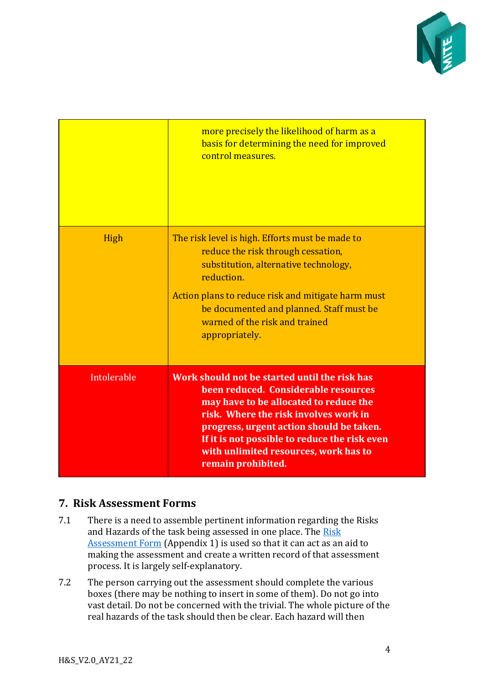

|             | more precisely the likelihood of harm as a<br>basis for determining the need for improved<br>control measures.                                                                                                                                                                                                                       |
|-------------|--------------------------------------------------------------------------------------------------------------------------------------------------------------------------------------------------------------------------------------------------------------------------------------------------------------------------------------|
| High        | The risk level is high. Efforts must be made to<br>reduce the risk through cessation,<br>substitution, alternative technology,<br>reduction.<br>Action plans to reduce risk and mitigate harm must<br>be documented and planned. Staff must be<br>warned of the risk and trained<br>appropriately.                                   |
| Intolerable | Work should not be started until the risk has<br>been reduced. Considerable resources<br>may have to be allocated to reduce the<br>risk. Where the risk involves work in<br>progress, urgent action should be taken.<br>If it is not possible to reduce the risk even<br>with unlimited resources, work has to<br>remain prohibited. |

## <span id="page-3-0"></span>**7. Risk Assessment Forms**

- 7.1 There is a need to assemble pertinent information regarding the Risks and Hazards of the task being assessed in one place. The Risk [Assessment Form](#page-9-0) (Appendix 1) is used so that it can act as an aid to making the assessment and create a written record of that assessment process. It is largely self-explanatory.
- 7.2 The person carrying out the assessment should complete the various boxes (there may be nothing to insert in some of them). Do not go into vast detail. Do not be concerned with the trivial. The whole picture of the real hazards of the task should then be clear. Each hazard will then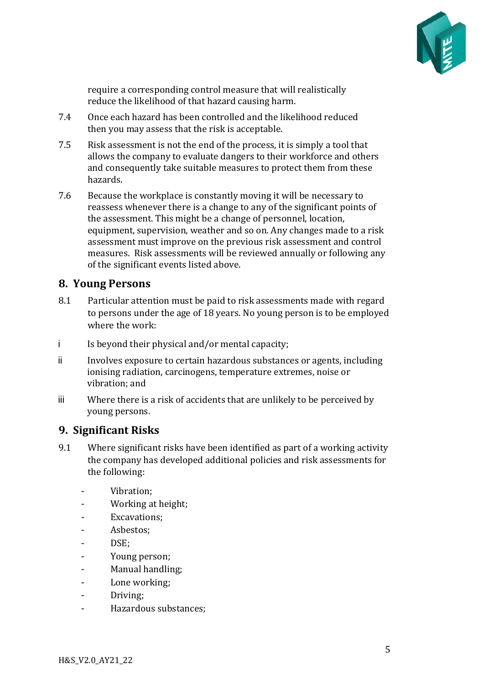

require a corresponding control measure that will realistically reduce the likelihood of that hazard causing harm.

- 7.4 Once each hazard has been controlled and the likelihood reduced then you may assess that the risk is acceptable.
- 7.5 Risk assessment is not the end of the process, it is simply a tool that allows the company to evaluate dangers to their workforce and others and consequently take suitable measures to protect them from these hazards.
- 7.6 Because the workplace is constantly moving it will be necessary to reassess whenever there is a change to any of the significant points of the assessment. This might be a change of personnel, location, equipment, supervision, weather and so on. Any changes made to a risk assessment must improve on the previous risk assessment and control measures. Risk assessments will be reviewed annually or following any of the significant events listed above.

### <span id="page-4-0"></span>**8. Young Persons**

- 8.1 Particular attention must be paid to risk assessments made with regard to persons under the age of 18 years. No young person is to be employed where the work:
- i Is beyond their physical and/or mental capacity;
- ii Involves exposure to certain hazardous substances or agents, including ionising radiation, carcinogens, temperature extremes, noise or vibration; and
- iii Where there is a risk of accidents that are unlikely to be perceived by young persons.

#### <span id="page-4-1"></span>**9. Significant Risks**

- 9.1 Where significant risks have been identified as part of a working activity the company has developed additional policies and risk assessments for the following:
	- Vibration;
	- Working at height;
	- Excavations;
	- Asbestos:
	- DSE:
	- Young person;
	- Manual handling;
	- Lone working;
	- Driving;
	- Hazardous substances;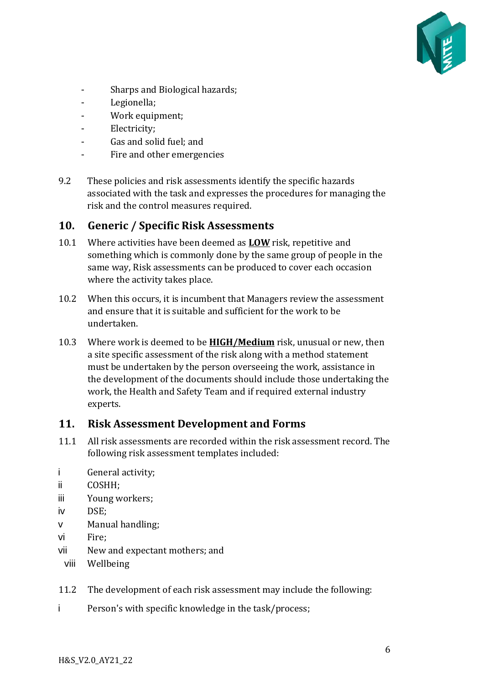

- Sharps and Biological hazards;
- Legionella;
- Work equipment;
- Electricity;
- Gas and solid fuel; and
- Fire and other emergencies
- 9.2 These policies and risk assessments identify the specific hazards associated with the task and expresses the procedures for managing the risk and the control measures required.

#### <span id="page-5-0"></span>**10. Generic / Specific Risk Assessments**

- 10.1 Where activities have been deemed as **LOW** risk, repetitive and something which is commonly done by the same group of people in the same way, Risk assessments can be produced to cover each occasion where the activity takes place.
- 10.2 When this occurs, it is incumbent that Managers review the assessment and ensure that it is suitable and sufficient for the work to be undertaken.
- 10.3 Where work is deemed to be **HIGH/Medium** risk, unusual or new, then a site specific assessment of the risk along with a method statement must be undertaken by the person overseeing the work, assistance in the development of the documents should include those undertaking the work, the Health and Safety Team and if required external industry experts.

#### <span id="page-5-1"></span>**11. Risk Assessment Development and Forms**

- 11.1 All risk assessments are recorded within the risk assessment record. The following risk assessment templates included:
- i General activity;
- ii COSHH;
- iii Young workers;
- iv DSE;
- v Manual handling;
- vi Fire;
- vii New and expectant mothers; and
- viii Wellbeing
- 11.2 The development of each risk assessment may include the following:
- i Person's with specific knowledge in the task/process;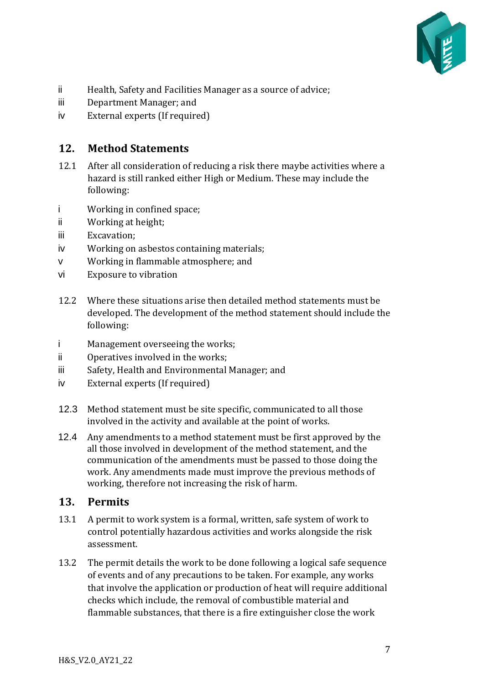

- ii Health, Safety and Facilities Manager as a source of advice;
- iii Department Manager; and
- iv External experts (If required)

### <span id="page-6-0"></span>**12. Method Statements**

- 12.1 After all consideration of reducing a risk there maybe activities where a hazard is still ranked either High or Medium. These may include the following:
- i Working in confined space;
- ii Working at height;
- iii Excavation;
- iv Working on asbestos containing materials;
- v Working in flammable atmosphere; and
- vi Exposure to vibration
- 12.2 Where these situations arise then detailed method statements must be developed. The development of the method statement should include the following:
- i Management overseeing the works;
- ii Operatives involved in the works;
- iii Safety, Health and Environmental Manager; and
- iv External experts (If required)
- 12.3 Method statement must be site specific, communicated to all those involved in the activity and available at the point of works.
- 12.4 Any amendments to a method statement must be first approved by the all those involved in development of the method statement, and the communication of the amendments must be passed to those doing the work. Any amendments made must improve the previous methods of working, therefore not increasing the risk of harm.

#### <span id="page-6-1"></span>**13. Permits**

- 13.1 A permit to work system is a formal, written, safe system of work to control potentially hazardous activities and works alongside the risk assessment.
- 13.2 The permit details the work to be done following a logical safe sequence of events and of any precautions to be taken. For example, any works that involve the application or production of heat will require additional checks which include, the removal of combustible material and flammable substances, that there is a fire extinguisher close the work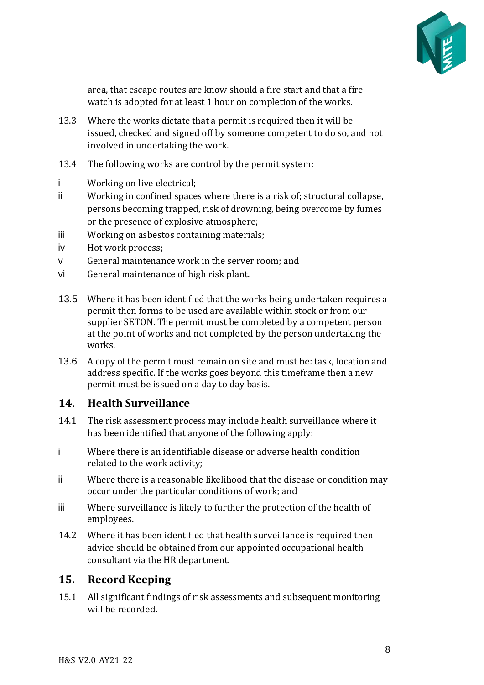

area, that escape routes are know should a fire start and that a fire watch is adopted for at least 1 hour on completion of the works.

- 13.3 Where the works dictate that a permit is required then it will be issued, checked and signed off by someone competent to do so, and not involved in undertaking the work.
- 13.4 The following works are control by the permit system:
- i Working on live electrical;
- ii Working in confined spaces where there is a risk of; structural collapse, persons becoming trapped, risk of drowning, being overcome by fumes or the presence of explosive atmosphere;
- iii Working on asbestos containing materials;
- iv Hot work process;
- v General maintenance work in the server room; and
- vi General maintenance of high risk plant.
- 13.5 Where it has been identified that the works being undertaken requires a permit then forms to be used are available within stock or from our supplier SETON. The permit must be completed by a competent person at the point of works and not completed by the person undertaking the works.
- 13.6 A copy of the permit must remain on site and must be: task, location and address specific. If the works goes beyond this timeframe then a new permit must be issued on a day to day basis.

### <span id="page-7-0"></span>**14. Health Surveillance**

- 14.1 The risk assessment process may include health surveillance where it has been identified that anyone of the following apply:
- i Where there is an identifiable disease or adverse health condition related to the work activity;
- ii Where there is a reasonable likelihood that the disease or condition may occur under the particular conditions of work; and
- iii Where surveillance is likely to further the protection of the health of employees.
- 14.2 Where it has been identified that health surveillance is required then advice should be obtained from our appointed occupational health consultant via the HR department.

### <span id="page-7-1"></span>**15. Record Keeping**

15.1 All significant findings of risk assessments and subsequent monitoring will be recorded.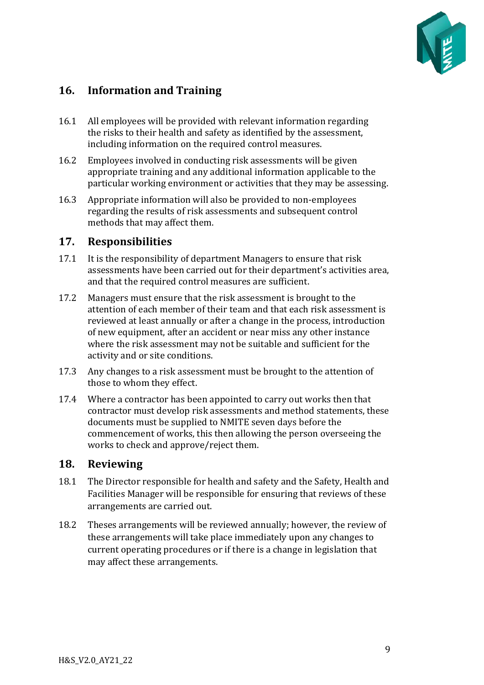

## <span id="page-8-0"></span>**16. Information and Training**

- 16.1 All employees will be provided with relevant information regarding the risks to their health and safety as identified by the assessment, including information on the required control measures.
- 16.2 Employees involved in conducting risk assessments will be given appropriate training and any additional information applicable to the particular working environment or activities that they may be assessing.
- 16.3 Appropriate information will also be provided to non-employees regarding the results of risk assessments and subsequent control methods that may affect them.

#### <span id="page-8-1"></span>**17. Responsibilities**

- 17.1 It is the responsibility of department Managers to ensure that risk assessments have been carried out for their department's activities area, and that the required control measures are sufficient.
- 17.2 Managers must ensure that the risk assessment is brought to the attention of each member of their team and that each risk assessment is reviewed at least annually or after a change in the process, introduction of new equipment, after an accident or near miss any other instance where the risk assessment may not be suitable and sufficient for the activity and or site conditions.
- 17.3 Any changes to a risk assessment must be brought to the attention of those to whom they effect.
- 17.4 Where a contractor has been appointed to carry out works then that contractor must develop risk assessments and method statements, these documents must be supplied to NMITE seven days before the commencement of works, this then allowing the person overseeing the works to check and approve/reject them.

#### <span id="page-8-2"></span>**18. Reviewing**

- 18.1 The Director responsible for health and safety and the Safety, Health and Facilities Manager will be responsible for ensuring that reviews of these arrangements are carried out.
- 18.2 Theses arrangements will be reviewed annually; however, the review of these arrangements will take place immediately upon any changes to current operating procedures or if there is a change in legislation that may affect these arrangements.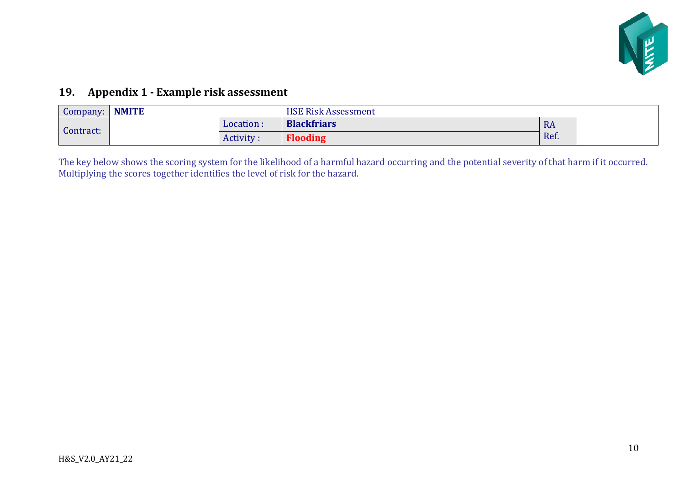

## **19. Appendix 1 - Example risk assessment**

| Company:  | <b>NMITE</b> |           | <b>HSE Risk Assessment</b> |           |  |
|-----------|--------------|-----------|----------------------------|-----------|--|
| Contract: |              | Location: | <b>Blackfriars</b>         | <b>RA</b> |  |
|           |              | Activity: | <b>Flooding</b>            | Ref.      |  |

<span id="page-9-0"></span>The key below shows the scoring system for the likelihood of a harmful hazard occurring and the potential severity of that harm if it occurred. Multiplying the scores together identifies the level of risk for the hazard.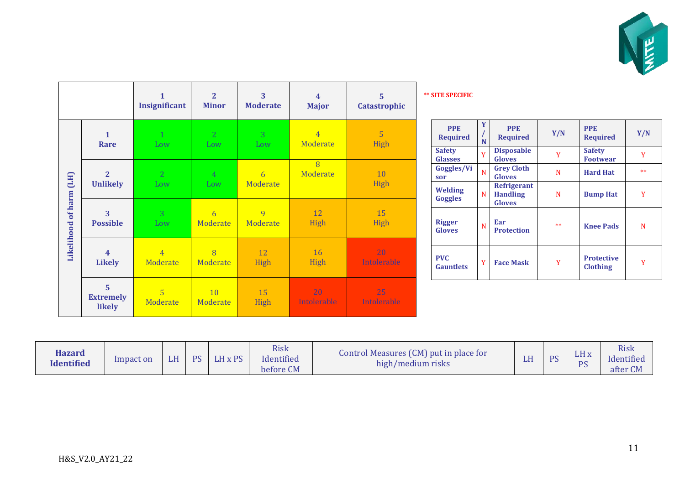

|                    |                                              | Insignificant              | $\overline{2}$<br><b>Minor</b> | 3<br><b>Moderate</b>  | $\overline{4}$<br><b>Major</b> | 5<br>Catastrophic | <b>** SITE SPECIFIC</b>          |             |                                           |      |                                      |      |
|--------------------|----------------------------------------------|----------------------------|--------------------------------|-----------------------|--------------------------------|-------------------|----------------------------------|-------------|-------------------------------------------|------|--------------------------------------|------|
|                    | $\mathbf{1}$<br>Rare                         | $\mathbf{1}$<br>Low        | 2 <sup>1</sup><br>Low          | 3 <sup>1</sup><br>Low | $\overline{4}$<br>Moderate     | 5<br>High         | <b>PPE</b><br><b>Required</b>    | $\mathbf N$ | <b>PPE</b><br><b>Required</b>             | Y/N  | <b>PPE</b><br><b>Required</b>        | Y/N  |
|                    |                                              |                            |                                |                       |                                |                   | <b>Safety</b><br><b>Glasses</b>  |             | <b>Disposable</b><br><b>Gloves</b>        | Y    | <b>Safety</b><br><b>Footwear</b>     | Y    |
| (HJ)               | $\overline{2}$                               | 2                          | $\overline{4}$                 | 6                     | $\overline{8}$<br>Moderate     | 10                | Goggles/Vi<br>sor                | N           | <b>Grey Cloth</b><br><b>Gloves</b>        | N    | <b>Hard Hat</b>                      | $**$ |
|                    | <b>Unlikely</b>                              | Low                        | Low                            | Moderate              |                                | High              | <b>Welding</b><br><b>Goggles</b> | N           | Refrigerant<br><b>Handling</b>            | N    | <b>Bump Hat</b>                      | Y    |
| Likelihood of harm | 3<br><b>Possible</b>                         | 3<br>Low                   | 6<br>Moderate                  | 9<br>Moderate         | 12<br>High                     | 15<br>High        | <b>Rigger</b><br><b>Gloves</b>   | N.          | <b>Gloves</b><br>Ear<br><b>Protection</b> | $**$ | <b>Knee Pads</b>                     | N    |
|                    | $\overline{\mathbf{4}}$<br><b>Likely</b>     | $\overline{4}$<br>Moderate | 8<br>Moderate                  | 12<br>High            | <b>16</b><br>High              | 20<br>Intolerable | <b>PVC</b><br><b>Gauntlets</b>   | V.          | <b>Face Mask</b>                          | Y    | <b>Protective</b><br><b>Clothing</b> | Y    |
|                    | $5\phantom{a}$<br><b>Extremely</b><br>likely | 5<br>Moderate              | 10<br>Moderate                 | 15<br>High            | 20<br>Intolerable              | 25<br>Intolerable |                                  |             |                                           |      |                                      |      |

| <b>Hazard</b><br><b>Identified</b> | Impact on | LН<br>ш | <b>DC</b> | LH x PS | <b>Risk</b><br>Identified<br>before CM | Control Measures (CM) put in place for<br>high/medium risks | ш | DC | LH <sub>x</sub><br>PS | <b>Risk</b><br>Identified<br>after CN |
|------------------------------------|-----------|---------|-----------|---------|----------------------------------------|-------------------------------------------------------------|---|----|-----------------------|---------------------------------------|
|------------------------------------|-----------|---------|-----------|---------|----------------------------------------|-------------------------------------------------------------|---|----|-----------------------|---------------------------------------|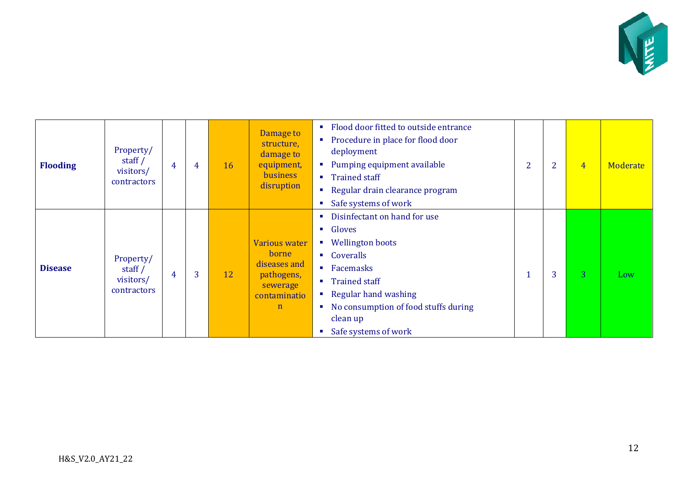

| <b>Flooding</b> | Property/<br>staff $/$<br>visitors/<br>contractors | 4 | 4 | 16 | Damage to<br>structure,<br>damage to<br>equipment,<br>business<br>disruption                            | Flood door fitted to outside entrance<br>$\mathcal{L}_{\mathcal{A}}$<br>Procedure in place for flood door<br>п<br>deployment<br>Pumping equipment available<br>п<br>■ Trained staff<br>Regular drain clearance program<br>$\mathcal{L}_{\mathcal{A}}$<br>Safe systems of work<br>п                                                                                 | $\overline{2}$ | $\overline{2}$ | $\overline{4}$ | Moderate |
|-----------------|----------------------------------------------------|---|---|----|---------------------------------------------------------------------------------------------------------|--------------------------------------------------------------------------------------------------------------------------------------------------------------------------------------------------------------------------------------------------------------------------------------------------------------------------------------------------------------------|----------------|----------------|----------------|----------|
| <b>Disease</b>  | Property/<br>staff $/$<br>visitors/<br>contractors | 4 | 3 | 12 | <b>Various water</b><br>borne.<br>diseases and<br>pathogens,<br>sewerage<br>contaminatio<br>$\mathbf n$ | Disinfectant on hand for use<br>п<br>Gloves<br>$\mathcal{L}_{\mathcal{A}}$<br><b>Wellington boots</b><br><b>Contract</b><br>• Coveralls<br>Facemasks<br>$\mathcal{L}_{\mathcal{A}}$<br><b>Trained staff</b><br>$\blacksquare$<br>Regular hand washing<br>No consumption of food stuffs during<br>$\mathcal{L}_{\rm{eff}}$<br>clean up<br>Safe systems of work<br>п |                | 3              | $\overline{3}$ | Low      |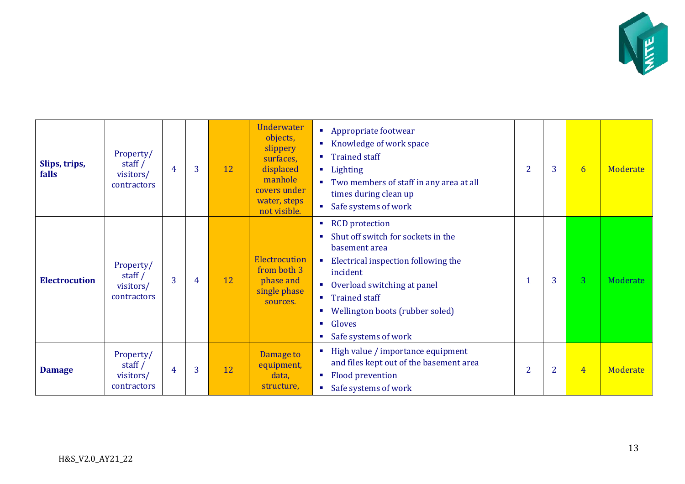

| Slips, trips,<br>falls | Property/<br>staff $/$<br>visitors/<br>contractors | $\overline{4}$ | 3 | 12 | <b>Underwater</b><br>• Appropriate footwear<br>objects,<br>Knowledge of work space<br>slippery<br><b>Trained staff</b><br>×<br>surfaces,<br>displaced<br><b>Lighting</b><br>manhole<br>Two members of staff in any area at all<br>٠<br>covers under<br>times during clean up<br>water, steps<br>• Safe systems of work<br>not visible. |                                                                                                                                                                                                                                                                                                                                                  | $\overline{2}$ | 3              | 6              | <b>Moderate</b> |
|------------------------|----------------------------------------------------|----------------|---|----|----------------------------------------------------------------------------------------------------------------------------------------------------------------------------------------------------------------------------------------------------------------------------------------------------------------------------------------|--------------------------------------------------------------------------------------------------------------------------------------------------------------------------------------------------------------------------------------------------------------------------------------------------------------------------------------------------|----------------|----------------|----------------|-----------------|
| <b>Electrocution</b>   | Property/<br>staff $/$<br>visitors/<br>contractors | $\overline{3}$ | 4 | 12 | Electrocution<br>from both 3<br>phase and<br>single phase<br>sources.                                                                                                                                                                                                                                                                  | <b>RCD</b> protection<br>$\mathcal{L}_{\mathcal{A}}$<br>Shut off switch for sockets in the<br>basement area<br>Electrical inspection following the<br>×<br>incident<br>Overload switching at panel<br>$\mathcal{L}_{\mathcal{A}}$<br><b>Trained staff</b><br>Wellington boots (rubber soled)<br>Gloves<br>$\blacksquare$<br>Safe systems of work | -1             | 3              | 3 <sup>°</sup> | Moderate        |
| <b>Damage</b>          | Property/<br>staff $/$<br>visitors/<br>contractors | $\overline{4}$ | 3 | 12 | Damage to<br>equipment,<br>data,<br>structure,                                                                                                                                                                                                                                                                                         | High value / importance equipment<br>and files kept out of the basement area<br><b>Flood prevention</b><br><b>COL</b><br>Safe systems of work                                                                                                                                                                                                    | $\overline{2}$ | $\overline{2}$ | $\overline{4}$ | Moderate        |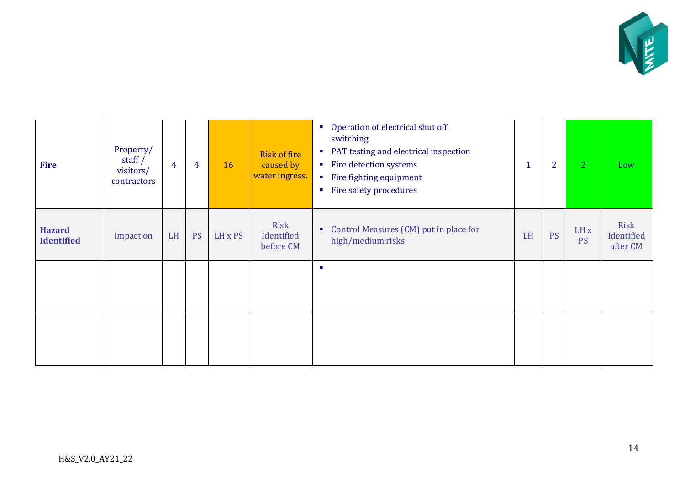

| <b>Fire</b>                        | Property/<br>staff $/$<br>visitors/<br>contractors | $\overline{4}$ | 4         | 16      | <b>Risk of fire</b><br>caused by<br>water ingress. | Operation of electrical shut off<br>$\mathcal{L}_{\rm{in}}$<br>switching<br>PAT testing and electrical inspection<br>$\mathcal{L}_{\mathcal{A}}$<br>• Fire detection systems<br>• Fire fighting equipment<br>Fire safety procedures<br>$\mathcal{L}_{\mathcal{A}}$ |    | $\overline{2}$ | 2                            | Low                            |
|------------------------------------|----------------------------------------------------|----------------|-----------|---------|----------------------------------------------------|--------------------------------------------------------------------------------------------------------------------------------------------------------------------------------------------------------------------------------------------------------------------|----|----------------|------------------------------|--------------------------------|
| <b>Hazard</b><br><b>Identified</b> | Impact on                                          | LH             | <b>PS</b> | LH x PS | Risk<br>Identified<br>before CM                    | Control Measures (CM) put in place for<br>٠<br>high/medium risks                                                                                                                                                                                                   | LH | <b>PS</b>      | LH <sub>x</sub><br><b>PS</b> | Risk<br>Identified<br>after CM |
|                                    |                                                    |                |           |         | ×                                                  |                                                                                                                                                                                                                                                                    |    |                |                              |                                |
|                                    |                                                    |                |           |         |                                                    |                                                                                                                                                                                                                                                                    |    |                |                              |                                |